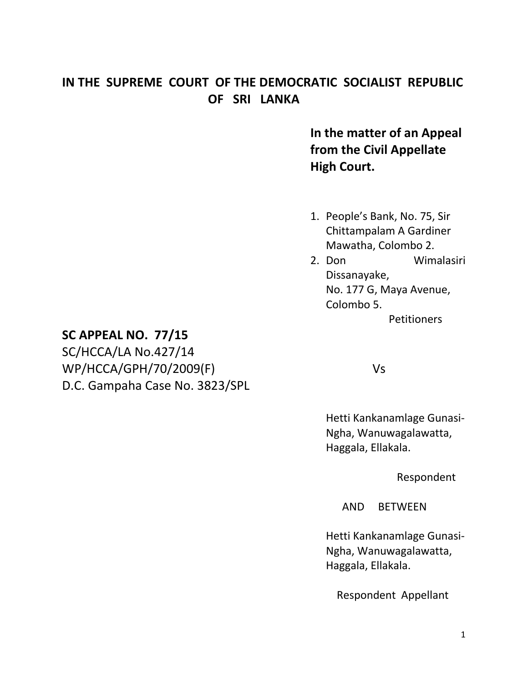## **IN THE SUPREME COURT OF THE DEMOCRATIC SOCIALIST REPUBLIC OF SRI LANKA**

**In the matter of an Appeal from the Civil Appellate High Court.**

- 1. People's Bank, No. 75, Sir Chittampalam A Gardiner Mawatha, Colombo 2.
- 2. Don Wimalasiri Dissanayake, No. 177 G, Maya Avenue, Colombo 5.

**Petitioners** 

### **SC APPEAL NO. 77/15**

SC/HCCA/LA No.427/14 WP/HCCA/GPH/70/2009(F) Vs D.C. Gampaha Case No. 3823/SPL

Hetti Kankanamlage Gunasi-Ngha, Wanuwagalawatta, Haggala, Ellakala.

Respondent

AND BETWEEN

Hetti Kankanamlage Gunasi-Ngha, Wanuwagalawatta, Haggala, Ellakala.

Respondent Appellant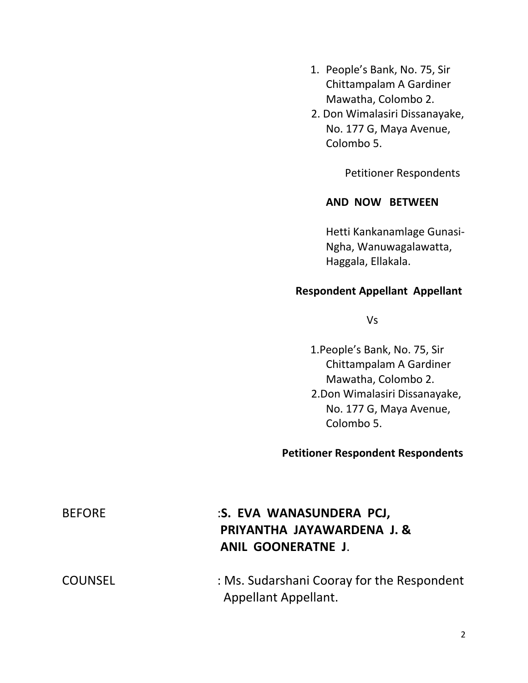- 1. People's Bank, No. 75, Sir Chittampalam A Gardiner Mawatha, Colombo 2.
- 2. Don Wimalasiri Dissanayake, No. 177 G, Maya Avenue, Colombo 5.

Petitioner Respondents

#### **AND NOW BETWEEN**

Hetti Kankanamlage Gunasi-Ngha, Wanuwagalawatta, Haggala, Ellakala.

#### **Respondent Appellant Appellant**

Vs

1.People's Bank, No. 75, Sir Chittampalam A Gardiner Mawatha, Colombo 2. 2.Don Wimalasiri Dissanayake, No. 177 G, Maya Avenue, Colombo 5.

# **Petitioner Respondent Respondents**

| <b>BEFORE</b>  | :S. EVA WANASUNDERA PCJ,<br>PRIYANTHA JAYAWARDENA J. &<br><b>ANIL GOONERATNE J.</b> |
|----------------|-------------------------------------------------------------------------------------|
| <b>COUNSEL</b> | : Ms. Sudarshani Cooray for the Respondent<br>Appellant Appellant.                  |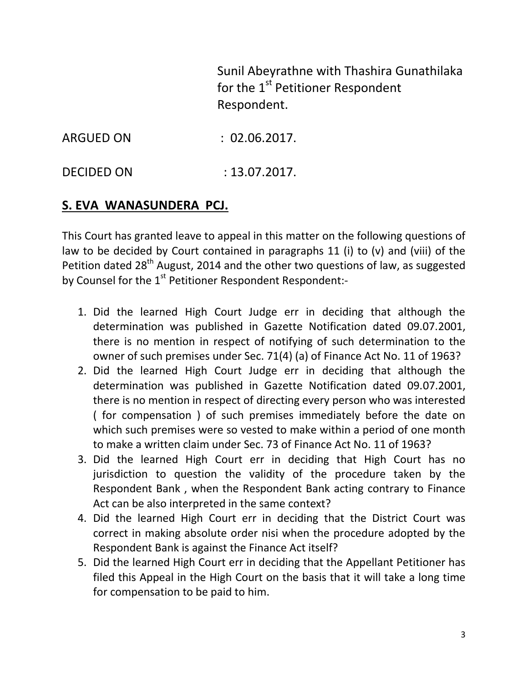Sunil Abeyrathne with Thashira Gunathilaka for the  $1<sup>st</sup>$  Petitioner Respondent Respondent.

DECIDED ON : 13.07.2017.

### **S. EVA WANASUNDERA PCJ.**

This Court has granted leave to appeal in this matter on the following questions of law to be decided by Court contained in paragraphs 11 (i) to (v) and (viii) of the Petition dated  $28<sup>th</sup>$  August, 2014 and the other two questions of law, as suggested by Counsel for the 1<sup>st</sup> Petitioner Respondent Respondent:-

- 1. Did the learned High Court Judge err in deciding that although the determination was published in Gazette Notification dated 09.07.2001, there is no mention in respect of notifying of such determination to the owner of such premises under Sec. 71(4) (a) of Finance Act No. 11 of 1963?
- 2. Did the learned High Court Judge err in deciding that although the determination was published in Gazette Notification dated 09.07.2001, there is no mention in respect of directing every person who was interested ( for compensation ) of such premises immediately before the date on which such premises were so vested to make within a period of one month to make a written claim under Sec. 73 of Finance Act No. 11 of 1963?
- 3. Did the learned High Court err in deciding that High Court has no jurisdiction to question the validity of the procedure taken by the Respondent Bank , when the Respondent Bank acting contrary to Finance Act can be also interpreted in the same context?
- 4. Did the learned High Court err in deciding that the District Court was correct in making absolute order nisi when the procedure adopted by the Respondent Bank is against the Finance Act itself?
- 5. Did the learned High Court err in deciding that the Appellant Petitioner has filed this Appeal in the High Court on the basis that it will take a long time for compensation to be paid to him.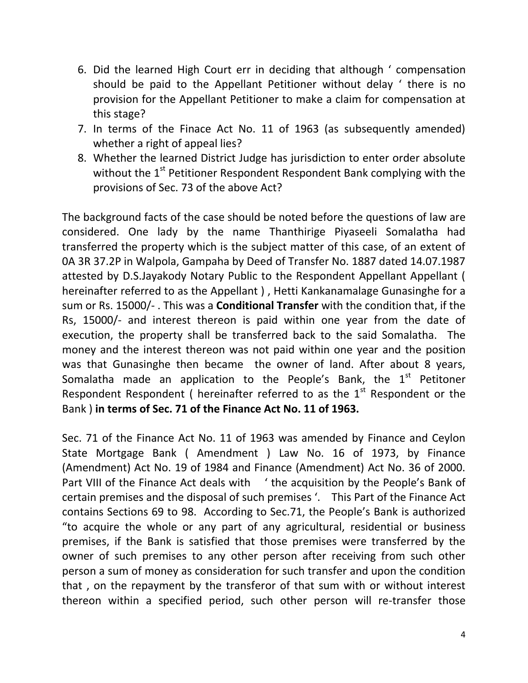- 6. Did the learned High Court err in deciding that although ' compensation should be paid to the Appellant Petitioner without delay ' there is no provision for the Appellant Petitioner to make a claim for compensation at this stage?
- 7. In terms of the Finace Act No. 11 of 1963 (as subsequently amended) whether a right of appeal lies?
- 8. Whether the learned District Judge has jurisdiction to enter order absolute without the  $1<sup>st</sup>$  Petitioner Respondent Respondent Bank complying with the provisions of Sec. 73 of the above Act?

The background facts of the case should be noted before the questions of law are considered. One lady by the name Thanthirige Piyaseeli Somalatha had transferred the property which is the subject matter of this case, of an extent of 0A 3R 37.2P in Walpola, Gampaha by Deed of Transfer No. 1887 dated 14.07.1987 attested by D.S.Jayakody Notary Public to the Respondent Appellant Appellant ( hereinafter referred to as the Appellant ) , Hetti Kankanamalage Gunasinghe for a sum or Rs. 15000/- . This was a **Conditional Transfer** with the condition that, if the Rs, 15000/- and interest thereon is paid within one year from the date of execution, the property shall be transferred back to the said Somalatha. The money and the interest thereon was not paid within one year and the position was that Gunasinghe then became the owner of land. After about 8 years, Somalatha made an application to the People's Bank, the  $1<sup>st</sup>$  Petitoner Respondent Respondent ( hereinafter referred to as the  $1<sup>st</sup>$  Respondent or the Bank ) **in terms of Sec. 71 of the Finance Act No. 11 of 1963.** 

Sec. 71 of the Finance Act No. 11 of 1963 was amended by Finance and Ceylon State Mortgage Bank ( Amendment ) Law No. 16 of 1973, by Finance (Amendment) Act No. 19 of 1984 and Finance (Amendment) Act No. 36 of 2000. Part VIII of the Finance Act deals with ' the acquisition by the People's Bank of certain premises and the disposal of such premises '. This Part of the Finance Act contains Sections 69 to 98. According to Sec.71, the People's Bank is authorized "to acquire the whole or any part of any agricultural, residential or business premises, if the Bank is satisfied that those premises were transferred by the owner of such premises to any other person after receiving from such other person a sum of money as consideration for such transfer and upon the condition that , on the repayment by the transferor of that sum with or without interest thereon within a specified period, such other person will re-transfer those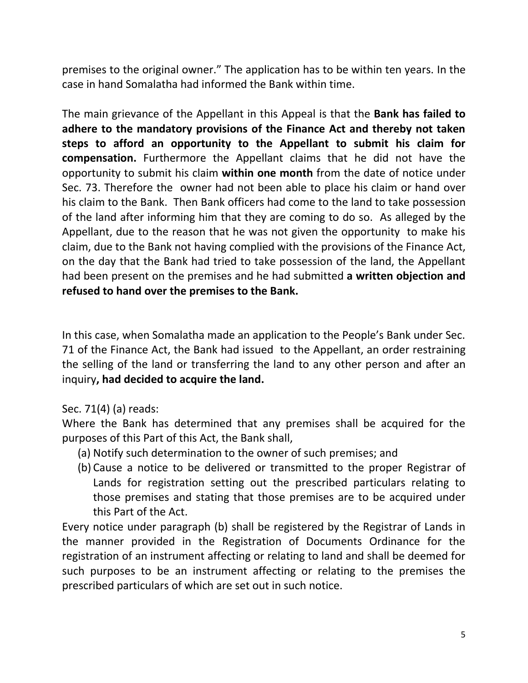premises to the original owner." The application has to be within ten years. In the case in hand Somalatha had informed the Bank within time.

The main grievance of the Appellant in this Appeal is that the **Bank has failed to adhere to the mandatory provisions of the Finance Act and thereby not taken steps to afford an opportunity to the Appellant to submit his claim for compensation.** Furthermore the Appellant claims that he did not have the opportunity to submit his claim **within one month** from the date of notice under Sec. 73. Therefore the owner had not been able to place his claim or hand over his claim to the Bank. Then Bank officers had come to the land to take possession of the land after informing him that they are coming to do so. As alleged by the Appellant, due to the reason that he was not given the opportunity to make his claim, due to the Bank not having complied with the provisions of the Finance Act, on the day that the Bank had tried to take possession of the land, the Appellant had been present on the premises and he had submitted **a written objection and refused to hand over the premises to the Bank.**

In this case, when Somalatha made an application to the People's Bank under Sec. 71 of the Finance Act, the Bank had issued to the Appellant, an order restraining the selling of the land or transferring the land to any other person and after an inquiry**, had decided to acquire the land.**

#### Sec. 71(4) (a) reads:

Where the Bank has determined that any premises shall be acquired for the purposes of this Part of this Act, the Bank shall,

- (a) Notify such determination to the owner of such premises; and
- (b) Cause a notice to be delivered or transmitted to the proper Registrar of Lands for registration setting out the prescribed particulars relating to those premises and stating that those premises are to be acquired under this Part of the Act.

Every notice under paragraph (b) shall be registered by the Registrar of Lands in the manner provided in the Registration of Documents Ordinance for the registration of an instrument affecting or relating to land and shall be deemed for such purposes to be an instrument affecting or relating to the premises the prescribed particulars of which are set out in such notice.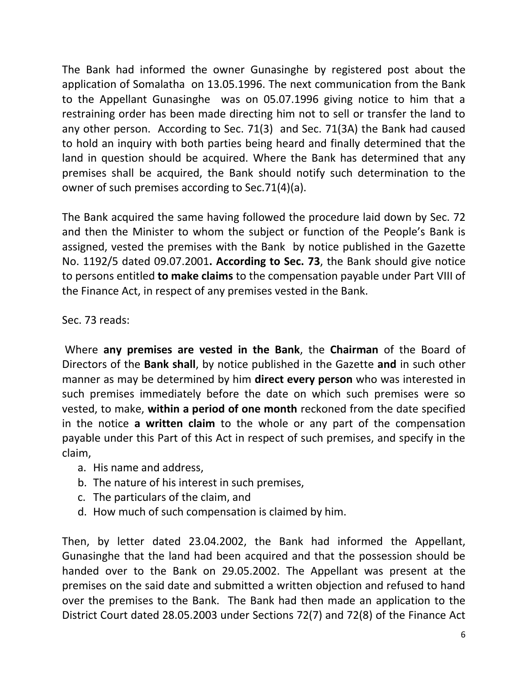The Bank had informed the owner Gunasinghe by registered post about the application of Somalatha on 13.05.1996. The next communication from the Bank to the Appellant Gunasinghe was on 05.07.1996 giving notice to him that a restraining order has been made directing him not to sell or transfer the land to any other person. According to Sec. 71(3) and Sec. 71(3A) the Bank had caused to hold an inquiry with both parties being heard and finally determined that the land in question should be acquired. Where the Bank has determined that any premises shall be acquired, the Bank should notify such determination to the owner of such premises according to Sec.71(4)(a).

The Bank acquired the same having followed the procedure laid down by Sec. 72 and then the Minister to whom the subject or function of the People's Bank is assigned, vested the premises with the Bank by notice published in the Gazette No. 1192/5 dated 09.07.2001**. According to Sec. 73**, the Bank should give notice to persons entitled **to make claims** to the compensation payable under Part VIII of the Finance Act, in respect of any premises vested in the Bank.

Sec. 73 reads:

Where **any premises are vested in the Bank**, the **Chairman** of the Board of Directors of the **Bank shall**, by notice published in the Gazette **and** in such other manner as may be determined by him **direct every person** who was interested in such premises immediately before the date on which such premises were so vested, to make, **within a period of one month** reckoned from the date specified in the notice **a written claim** to the whole or any part of the compensation payable under this Part of this Act in respect of such premises, and specify in the claim,

- a. His name and address,
- b. The nature of his interest in such premises,
- c. The particulars of the claim, and
- d. How much of such compensation is claimed by him.

Then, by letter dated 23.04.2002, the Bank had informed the Appellant, Gunasinghe that the land had been acquired and that the possession should be handed over to the Bank on 29.05.2002. The Appellant was present at the premises on the said date and submitted a written objection and refused to hand over the premises to the Bank. The Bank had then made an application to the District Court dated 28.05.2003 under Sections 72(7) and 72(8) of the Finance Act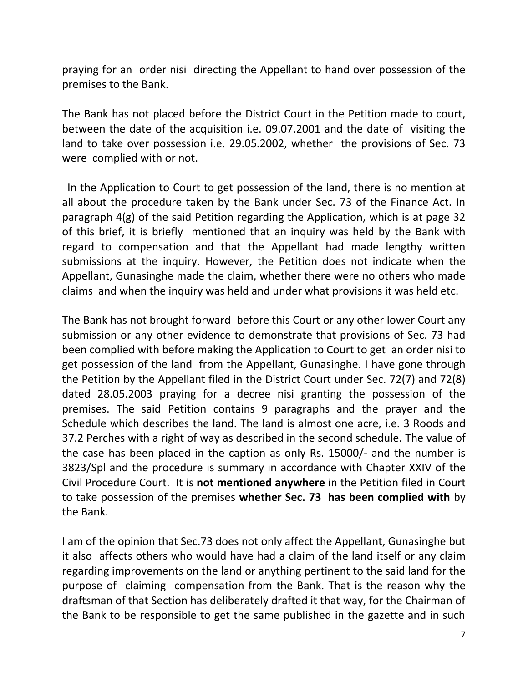praying for an order nisi directing the Appellant to hand over possession of the premises to the Bank.

The Bank has not placed before the District Court in the Petition made to court, between the date of the acquisition i.e. 09.07.2001 and the date of visiting the land to take over possession i.e. 29.05.2002, whether the provisions of Sec. 73 were complied with or not.

In the Application to Court to get possession of the land, there is no mention at all about the procedure taken by the Bank under Sec. 73 of the Finance Act. In paragraph 4(g) of the said Petition regarding the Application, which is at page 32 of this brief, it is briefly mentioned that an inquiry was held by the Bank with regard to compensation and that the Appellant had made lengthy written submissions at the inquiry. However, the Petition does not indicate when the Appellant, Gunasinghe made the claim, whether there were no others who made claims and when the inquiry was held and under what provisions it was held etc.

The Bank has not brought forward before this Court or any other lower Court any submission or any other evidence to demonstrate that provisions of Sec. 73 had been complied with before making the Application to Court to get an order nisi to get possession of the land from the Appellant, Gunasinghe. I have gone through the Petition by the Appellant filed in the District Court under Sec. 72(7) and 72(8) dated 28.05.2003 praying for a decree nisi granting the possession of the premises. The said Petition contains 9 paragraphs and the prayer and the Schedule which describes the land. The land is almost one acre, i.e. 3 Roods and 37.2 Perches with a right of way as described in the second schedule. The value of the case has been placed in the caption as only Rs. 15000/- and the number is 3823/Spl and the procedure is summary in accordance with Chapter XXIV of the Civil Procedure Court. It is **not mentioned anywhere** in the Petition filed in Court to take possession of the premises **whether Sec. 73 has been complied with** by the Bank.

I am of the opinion that Sec.73 does not only affect the Appellant, Gunasinghe but it also affects others who would have had a claim of the land itself or any claim regarding improvements on the land or anything pertinent to the said land for the purpose of claiming compensation from the Bank. That is the reason why the draftsman of that Section has deliberately drafted it that way, for the Chairman of the Bank to be responsible to get the same published in the gazette and in such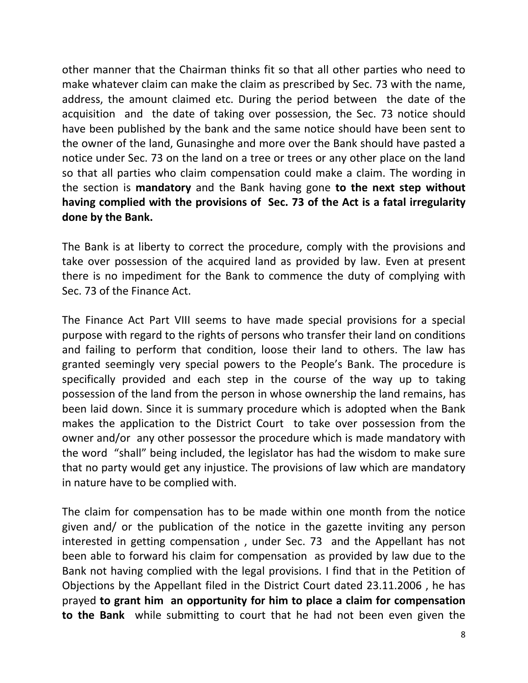other manner that the Chairman thinks fit so that all other parties who need to make whatever claim can make the claim as prescribed by Sec. 73 with the name, address, the amount claimed etc. During the period between the date of the acquisition and the date of taking over possession, the Sec. 73 notice should have been published by the bank and the same notice should have been sent to the owner of the land, Gunasinghe and more over the Bank should have pasted a notice under Sec. 73 on the land on a tree or trees or any other place on the land so that all parties who claim compensation could make a claim. The wording in the section is **mandatory** and the Bank having gone **to the next step without having complied with the provisions of Sec. 73 of the Act is a fatal irregularity done by the Bank.**

The Bank is at liberty to correct the procedure, comply with the provisions and take over possession of the acquired land as provided by law. Even at present there is no impediment for the Bank to commence the duty of complying with Sec. 73 of the Finance Act.

The Finance Act Part VIII seems to have made special provisions for a special purpose with regard to the rights of persons who transfer their land on conditions and failing to perform that condition, loose their land to others. The law has granted seemingly very special powers to the People's Bank. The procedure is specifically provided and each step in the course of the way up to taking possession of the land from the person in whose ownership the land remains, has been laid down. Since it is summary procedure which is adopted when the Bank makes the application to the District Court to take over possession from the owner and/or any other possessor the procedure which is made mandatory with the word "shall" being included, the legislator has had the wisdom to make sure that no party would get any injustice. The provisions of law which are mandatory in nature have to be complied with.

The claim for compensation has to be made within one month from the notice given and/ or the publication of the notice in the gazette inviting any person interested in getting compensation , under Sec. 73 and the Appellant has not been able to forward his claim for compensation as provided by law due to the Bank not having complied with the legal provisions. I find that in the Petition of Objections by the Appellant filed in the District Court dated 23.11.2006 , he has prayed **to grant him an opportunity for him to place a claim for compensation to the Bank** while submitting to court that he had not been even given the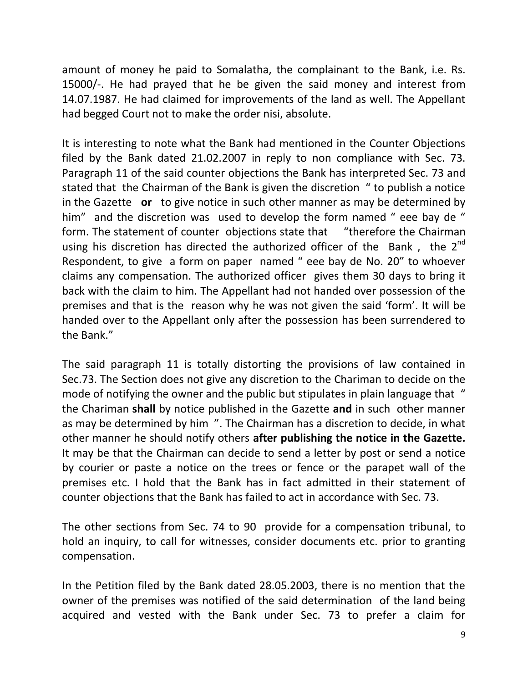amount of money he paid to Somalatha, the complainant to the Bank, i.e. Rs. 15000/-. He had prayed that he be given the said money and interest from 14.07.1987. He had claimed for improvements of the land as well. The Appellant had begged Court not to make the order nisi, absolute.

It is interesting to note what the Bank had mentioned in the Counter Objections filed by the Bank dated 21.02.2007 in reply to non compliance with Sec. 73. Paragraph 11 of the said counter objections the Bank has interpreted Sec. 73 and stated that the Chairman of the Bank is given the discretion " to publish a notice in the Gazette **or** to give notice in such other manner as may be determined by him" and the discretion was used to develop the form named "eee bay de " form. The statement of counter objections state that "therefore the Chairman using his discretion has directed the authorized officer of the Bank, the  $2^{nd}$ Respondent, to give a form on paper named " eee bay de No. 20" to whoever claims any compensation. The authorized officer gives them 30 days to bring it back with the claim to him. The Appellant had not handed over possession of the premises and that is the reason why he was not given the said 'form'. It will be handed over to the Appellant only after the possession has been surrendered to the Bank."

The said paragraph 11 is totally distorting the provisions of law contained in Sec.73. The Section does not give any discretion to the Chariman to decide on the mode of notifying the owner and the public but stipulates in plain language that " the Chariman **shall** by notice published in the Gazette **and** in such other manner as may be determined by him ". The Chairman has a discretion to decide, in what other manner he should notify others **after publishing the notice in the Gazette.** It may be that the Chairman can decide to send a letter by post or send a notice by courier or paste a notice on the trees or fence or the parapet wall of the premises etc. I hold that the Bank has in fact admitted in their statement of counter objections that the Bank has failed to act in accordance with Sec. 73.

The other sections from Sec. 74 to 90 provide for a compensation tribunal, to hold an inquiry, to call for witnesses, consider documents etc. prior to granting compensation.

In the Petition filed by the Bank dated 28.05.2003, there is no mention that the owner of the premises was notified of the said determination of the land being acquired and vested with the Bank under Sec. 73 to prefer a claim for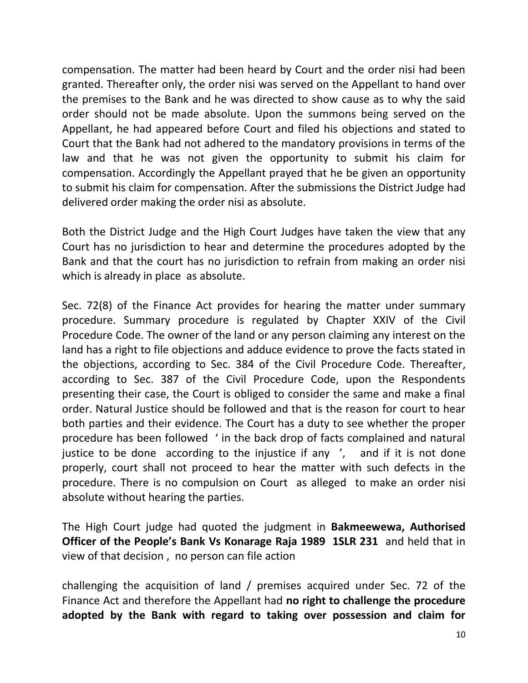compensation. The matter had been heard by Court and the order nisi had been granted. Thereafter only, the order nisi was served on the Appellant to hand over the premises to the Bank and he was directed to show cause as to why the said order should not be made absolute. Upon the summons being served on the Appellant, he had appeared before Court and filed his objections and stated to Court that the Bank had not adhered to the mandatory provisions in terms of the law and that he was not given the opportunity to submit his claim for compensation. Accordingly the Appellant prayed that he be given an opportunity to submit his claim for compensation. After the submissions the District Judge had delivered order making the order nisi as absolute.

Both the District Judge and the High Court Judges have taken the view that any Court has no jurisdiction to hear and determine the procedures adopted by the Bank and that the court has no jurisdiction to refrain from making an order nisi which is already in place as absolute.

Sec. 72(8) of the Finance Act provides for hearing the matter under summary procedure. Summary procedure is regulated by Chapter XXIV of the Civil Procedure Code. The owner of the land or any person claiming any interest on the land has a right to file objections and adduce evidence to prove the facts stated in the objections, according to Sec. 384 of the Civil Procedure Code. Thereafter, according to Sec. 387 of the Civil Procedure Code, upon the Respondents presenting their case, the Court is obliged to consider the same and make a final order. Natural Justice should be followed and that is the reason for court to hear both parties and their evidence. The Court has a duty to see whether the proper procedure has been followed ' in the back drop of facts complained and natural justice to be done according to the injustice if any ', and if it is not done properly, court shall not proceed to hear the matter with such defects in the procedure. There is no compulsion on Court as alleged to make an order nisi absolute without hearing the parties.

The High Court judge had quoted the judgment in **Bakmeewewa, Authorised Officer of the People's Bank Vs Konarage Raja 1989 1SLR 231** and held that in view of that decision , no person can file action

challenging the acquisition of land / premises acquired under Sec. 72 of the Finance Act and therefore the Appellant had **no right to challenge the procedure adopted by the Bank with regard to taking over possession and claim for**